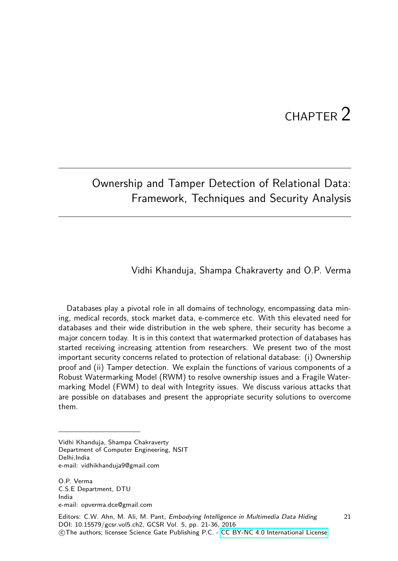# $CHAPTFR$   $2$

21

# Ownership and Tamper Detection of Relational Data: Framework, Techniques and Security Analysis

#### Vidhi Khanduja, Shampa Chakraverty and O.P. Verma

Databases play a pivotal role in all domains of technology, encompassing data mining, medical records, stock market data, e-commerce etc. With this elevated need for databases and their wide distribution in the web sphere, their security has become a major concern today. It is in this context that watermarked protection of databases has started receiving increasing attention from researchers. We present two of the most important security concerns related to protection of relational database: (i) Ownership proof and (ii) Tamper detection. We explain the functions of various components of a Robust Watermarking Model (RWM) to resolve ownership issues and a Fragile Watermarking Model (FWM) to deal with Integrity issues. We discuss various attacks that are possible on databases and present the appropriate security solutions to overcome them.

Vidhi Khanduja, Shampa Chakraverty Department of Computer Engineering, NSIT Delhi,India e-mail: vidhikhanduja9@gmail.com

O.P. Verma C.S.E Department, DTU India e-mail: opverma.dce@gmail.com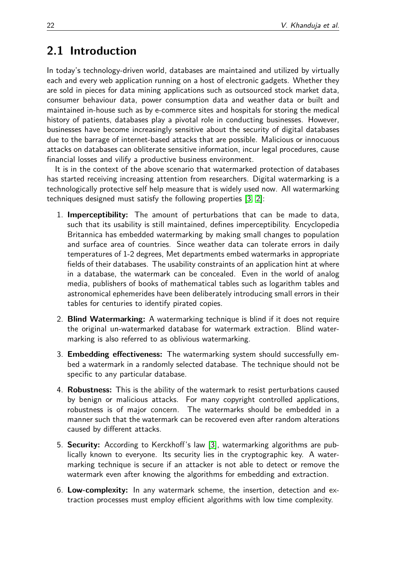# **2.1 Introduction**

In today's technology-driven world, databases are maintained and utilized by virtually each and every web application running on a host of electronic gadgets. Whether they are sold in pieces for data mining applications such as outsourced stock market data, consumer behaviour data, power consumption data and weather data or built and maintained in-house such as by e-commerce sites and hospitals for storing the medical history of patients, databases play a pivotal role in conducting businesses. However, businesses have become increasingly sensitive about the security of digital databases due to the barrage of internet-based attacks that are possible. Malicious or innocuous attacks on databases can obliterate sensitive information, incur legal procedures, cause financial losses and vilify a productive business environment.

It is in the context of the above scenario that watermarked protection of databases has started receiving increasing attention from researchers. Digital watermarking is a technologically protective self help measure that is widely used now. All watermarking techniques designed must satisfy the following properties [\[3,](#page-14-0) [2\]](#page-13-0):

- 1. **Imperceptibility:** The amount of perturbations that can be made to data, such that its usability is still maintained, defines imperceptibility. Encyclopedia Britannica has embedded watermarking by making small changes to population and surface area of countries. Since weather data can tolerate errors in daily temperatures of 1-2 degrees, Met departments embed watermarks in appropriate fields of their databases. The usability constraints of an application hint at where in a database, the watermark can be concealed. Even in the world of analog media, publishers of books of mathematical tables such as logarithm tables and astronomical ephemerides have been deliberately introducing small errors in their tables for centuries to identify pirated copies.
- 2. **Blind Watermarking:** A watermarking technique is blind if it does not require the original un-watermarked database for watermark extraction. Blind watermarking is also referred to as oblivious watermarking.
- 3. **Embedding effectiveness:** The watermarking system should successfully embed a watermark in a randomly selected database. The technique should not be specific to any particular database.
- 4. **Robustness:** This is the ability of the watermark to resist perturbations caused by benign or malicious attacks. For many copyright controlled applications, robustness is of major concern. The watermarks should be embedded in a manner such that the watermark can be recovered even after random alterations caused by different attacks.
- 5. **Security:** According to Kerckhoff's law [\[3\]](#page-14-0), watermarking algorithms are publically known to everyone. Its security lies in the cryptographic key. A watermarking technique is secure if an attacker is not able to detect or remove the watermark even after knowing the algorithms for embedding and extraction.
- 6. **Low-complexity:** In any watermark scheme, the insertion, detection and extraction processes must employ efficient algorithms with low time complexity.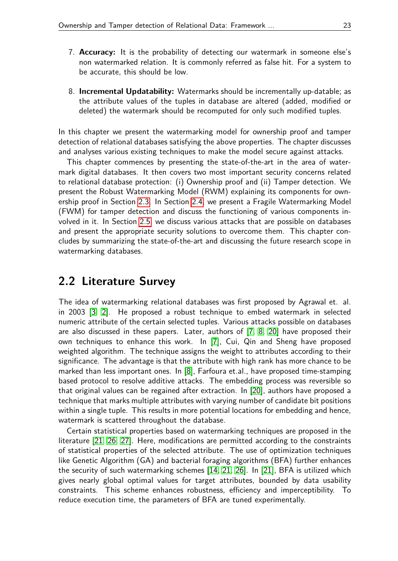- 7. **Accuracy:** It is the probability of detecting our watermark in someone else's non watermarked relation. It is commonly referred as false hit. For a system to be accurate, this should be low.
- 8. **Incremental Updatability:** Watermarks should be incrementally up-datable; as the attribute values of the tuples in database are altered (added, modified or deleted) the watermark should be recomputed for only such modified tuples.

In this chapter we present the watermarking model for ownership proof and tamper detection of relational databases satisfying the above properties. The chapter discusses and analyses various existing techniques to make the model secure against attacks.

This chapter commences by presenting the state-of-the-art in the area of watermark digital databases. It then covers two most important security concerns related to relational database protection: (i) Ownership proof and (ii) Tamper detection. We present the Robust Watermarking Model (RWM) explaining its components for ownership proof in Section [2.3.](#page-3-0) In Section [2.4,](#page-8-0) we present a Fragile Watermarking Model (FWM) for tamper detection and discuss the functioning of various components involved in it. In Section [2.5,](#page-10-0) we discuss various attacks that are possible on databases and present the appropriate security solutions to overcome them. This chapter concludes by summarizing the state-of-the-art and discussing the future research scope in watermarking databases.

## **2.2 Literature Survey**

The idea of watermarking relational databases was first proposed by Agrawal et. al. in 2003 [\[3,](#page-14-0) [2\]](#page-13-0). He proposed a robust technique to embed watermark in selected numeric attribute of the certain selected tuples. Various attacks possible on databases are also discussed in these papers. Later, authors of [\[7,](#page-14-1) [8,](#page-14-2) [20\]](#page-15-0) have proposed their own techniques to enhance this work. In [\[7\]](#page-14-1), Cui, Qin and Sheng have proposed weighted algorithm. The technique assigns the weight to attributes according to their significance. The advantage is that the attribute with high rank has more chance to be marked than less important ones. In [\[8\]](#page-14-2), Farfoura et.al., have proposed time-stamping based protocol to resolve additive attacks. The embedding process was reversible so that original values can be regained after extraction. In [\[20\]](#page-15-0), authors have proposed a technique that marks multiple attributes with varying number of candidate bit positions within a single tuple. This results in more potential locations for embedding and hence, watermark is scattered throughout the database.

Certain statistical properties based on watermarking techniques are proposed in the literature [\[21,](#page-15-1) [26,](#page-15-2) [27\]](#page-15-3). Here, modifications are permitted according to the constraints of statistical properties of the selected attribute. The use of optimization techniques like Genetic Algorithm (GA) and bacterial foraging algorithms (BFA) further enhances the security of such watermarking schemes [\[14,](#page-14-3) [21,](#page-15-1) [26\]](#page-15-2). In [\[21\]](#page-15-1), BFA is utilized which gives nearly global optimal values for target attributes, bounded by data usability constraints. This scheme enhances robustness, efficiency and imperceptibility. To reduce execution time, the parameters of BFA are tuned experimentally.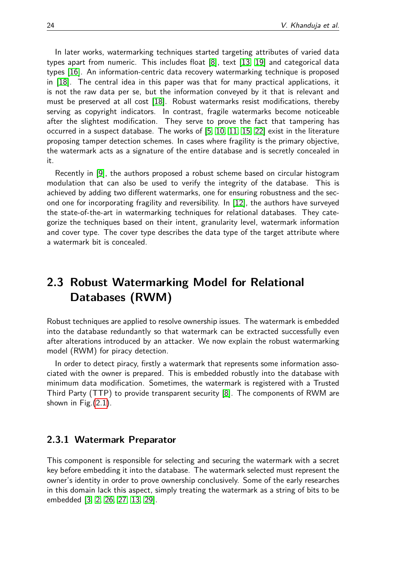In later works, watermarking techniques started targeting attributes of varied data types apart from numeric. This includes float [\[8\]](#page-14-2), text [\[13,](#page-14-4) [19\]](#page-15-4) and categorical data types [\[16\]](#page-14-5). An information-centric data recovery watermarking technique is proposed in [\[18\]](#page-14-6). The central idea in this paper was that for many practical applications, it is not the raw data per se, but the information conveyed by it that is relevant and must be preserved at all cost [\[18\]](#page-14-6). Robust watermarks resist modifications, thereby serving as copyright indicators. In contrast, fragile watermarks become noticeable after the slightest modification. They serve to prove the fact that tampering has occurred in a suspect database. The works of [\[5,](#page-14-7) [10,](#page-14-8) [11,](#page-14-9) [15,](#page-14-10) [22\]](#page-15-5) exist in the literature proposing tamper detection schemes. In cases where fragility is the primary objective, the watermark acts as a signature of the entire database and is secretly concealed in it.

Recently in [\[9\]](#page-14-11), the authors proposed a robust scheme based on circular histogram modulation that can also be used to verify the integrity of the database. This is achieved by adding two different watermarks, one for ensuring robustness and the second one for incorporating fragility and reversibility. In [\[12\]](#page-14-12), the authors have surveyed the state-of-the-art in watermarking techniques for relational databases. They categorize the techniques based on their intent, granularity level, watermark information and cover type. The cover type describes the data type of the target attribute where a watermark bit is concealed.

# <span id="page-3-0"></span>**2.3 Robust Watermarking Model for Relational Databases (RWM)**

Robust techniques are applied to resolve ownership issues. The watermark is embedded into the database redundantly so that watermark can be extracted successfully even after alterations introduced by an attacker. We now explain the robust watermarking model (RWM) for piracy detection.

In order to detect piracy, firstly a watermark that represents some information associated with the owner is prepared. This is embedded robustly into the database with minimum data modification. Sometimes, the watermark is registered with a Trusted Third Party (TTP) to provide transparent security [\[8\]](#page-14-2). The components of RWM are shown in Fig.[\(2.1\)](#page-4-0).

#### **2.3.1 Watermark Preparator**

This component is responsible for selecting and securing the watermark with a secret key before embedding it into the database. The watermark selected must represent the owner's identity in order to prove ownership conclusively. Some of the early researches in this domain lack this aspect, simply treating the watermark as a string of bits to be embedded [\[3,](#page-14-0) [2,](#page-13-0) [26,](#page-15-2) [27,](#page-15-3) [13,](#page-14-4) [29\]](#page-15-6).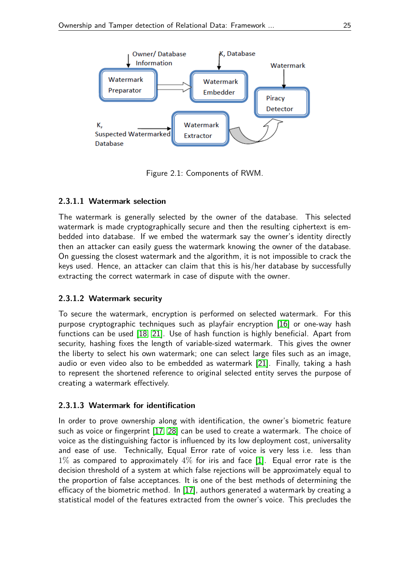

<span id="page-4-0"></span>Figure 2.1: Components of RWM.

#### **2.3.1.1 Watermark selection**

The watermark is generally selected by the owner of the database. This selected watermark is made cryptographically secure and then the resulting ciphertext is embedded into database. If we embed the watermark say the owner's identity directly then an attacker can easily guess the watermark knowing the owner of the database. On guessing the closest watermark and the algorithm, it is not impossible to crack the keys used. Hence, an attacker can claim that this is his/her database by successfully extracting the correct watermark in case of dispute with the owner.

#### **2.3.1.2 Watermark security**

To secure the watermark, encryption is performed on selected watermark. For this purpose cryptographic techniques such as playfair encryption [\[16\]](#page-14-5) or one-way hash functions can be used [\[18,](#page-14-6) [21\]](#page-15-1). Use of hash function is highly beneficial. Apart from security, hashing fixes the length of variable-sized watermark. This gives the owner the liberty to select his own watermark; one can select large files such as an image, audio or even video also to be embedded as watermark [\[21\]](#page-15-1). Finally, taking a hash to represent the shortened reference to original selected entity serves the purpose of creating a watermark effectively.

#### **2.3.1.3 Watermark for identification**

In order to prove ownership along with identification, the owner's biometric feature such as voice or fingerprint [\[17,](#page-14-13) [28\]](#page-15-7) can be used to create a watermark. The choice of voice as the distinguishing factor is influenced by its low deployment cost, universality and ease of use. Technically, Equal Error rate of voice is very less i.e. less than  $1\%$  as compared to approximately  $4\%$  for iris and face [\[1\]](#page-13-1). Equal error rate is the decision threshold of a system at which false rejections will be approximately equal to the proportion of false acceptances. It is one of the best methods of determining the efficacy of the biometric method. In [\[17\]](#page-14-13), authors generated a watermark by creating a statistical model of the features extracted from the owner's voice. This precludes the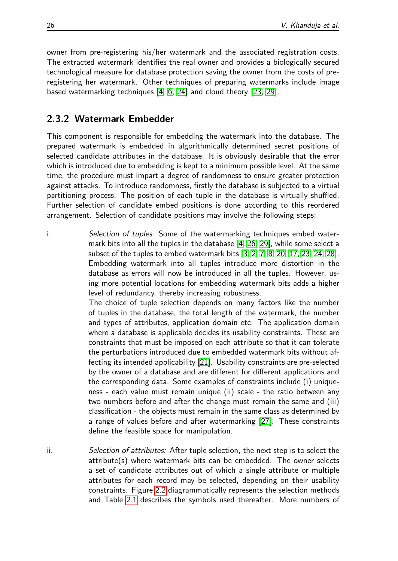owner from pre-registering his/her watermark and the associated registration costs. The extracted watermark identifies the real owner and provides a biologically secured technological measure for database protection saving the owner from the costs of preregistering her watermark. Other techniques of preparing watermarks include image based watermarking techniques [\[4,](#page-14-14) [6,](#page-14-15) [24\]](#page-15-8) and cloud theory [\[23,](#page-15-9) [29\]](#page-15-6).

### **2.3.2 Watermark Embedder**

This component is responsible for embedding the watermark into the database. The prepared watermark is embedded in algorithmically determined secret positions of selected candidate attributes in the database. It is obviously desirable that the error which is introduced due to embedding is kept to a minimum possible level. At the same time, the procedure must impart a degree of randomness to ensure greater protection against attacks. To introduce randomness, firstly the database is subjected to a virtual partitioning process. The position of each tuple in the database is virtually shuffled. Further selection of candidate embed positions is done according to this reordered arrangement. Selection of candidate positions may involve the following steps:

i. Selection of tuples: Some of the watermarking techniques embed watermark bits into all the tuples in the database [\[4,](#page-14-14) [26,](#page-15-2) [29\]](#page-15-6), while some select a subset of the tuples to embed watermark bits [\[3,](#page-14-0) [2,](#page-13-0) [7,](#page-14-1) [8,](#page-14-2) [20,](#page-15-0) [17,](#page-14-13) [23,](#page-15-9) [24,](#page-15-8) [28\]](#page-15-7). Embedding watermark into all tuples introduce more distortion in the database as errors will now be introduced in all the tuples. However, using more potential locations for embedding watermark bits adds a higher level of redundancy, thereby increasing robustness.

> The choice of tuple selection depends on many factors like the number of tuples in the database, the total length of the watermark, the number and types of attributes, application domain etc. The application domain where a database is applicable decides its usability constraints. These are constraints that must be imposed on each attribute so that it can tolerate the perturbations introduced due to embedded watermark bits without affecting its intended applicability [\[21\]](#page-15-1). Usability constraints are pre-selected by the owner of a database and are different for different applications and the corresponding data. Some examples of constraints include (i) uniqueness - each value must remain unique (ii) scale - the ratio between any two numbers before and after the change must remain the same and (iii) classification - the objects must remain in the same class as determined by a range of values before and after watermarking [\[27\]](#page-15-3). These constraints define the feasible space for manipulation.

ii. Selection of attributes: After tuple selection, the next step is to select the attribute(s) where watermark bits can be embedded. The owner selects a set of candidate attributes out of which a single attribute or multiple attributes for each record may be selected, depending on their usability constraints. Figure [2.2](#page-7-0) diagrammatically represents the selection methods and Table [2.1](#page-6-0) describes the symbols used thereafter. More numbers of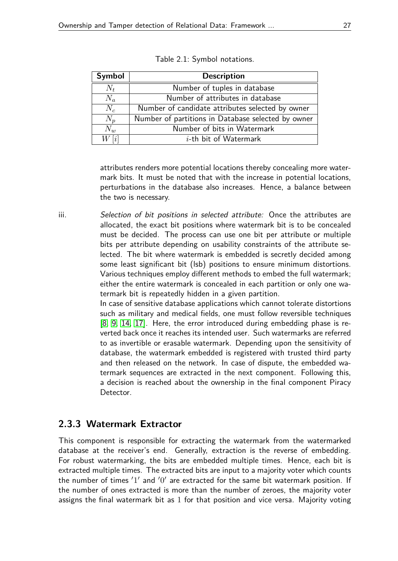| <b>Symbol</b>     | <b>Description</b>                                 |  |
|-------------------|----------------------------------------------------|--|
| $N_t$             | Number of tuples in database                       |  |
| $N_a$             | Number of attributes in database                   |  |
| $N_c$             | Number of candidate attributes selected by owner   |  |
| $N_p$             | Number of partitions in Database selected by owner |  |
| $N_w$             | Number of bits in Watermark                        |  |
| $W\left[i\right]$ | $i$ -th bit of Watermark                           |  |

<span id="page-6-0"></span>

|  |  | Table 2.1: Symbol notations. |
|--|--|------------------------------|
|--|--|------------------------------|

attributes renders more potential locations thereby concealing more watermark bits. It must be noted that with the increase in potential locations, perturbations in the database also increases. Hence, a balance between the two is necessary.

iii. Selection of bit positions in selected attribute: Once the attributes are allocated, the exact bit positions where watermark bit is to be concealed must be decided. The process can use one bit per attribute or multiple bits per attribute depending on usability constraints of the attribute selected. The bit where watermark is embedded is secretly decided among some least significant bit (lsb) positions to ensure minimum distortions. Various techniques employ different methods to embed the full watermark; either the entire watermark is concealed in each partition or only one watermark bit is repeatedly hidden in a given partition.

> In case of sensitive database applications which cannot tolerate distortions such as military and medical fields, one must follow reversible techniques [\[8,](#page-14-2) [9,](#page-14-11) [14,](#page-14-3) [17\]](#page-14-13). Here, the error introduced during embedding phase is reverted back once it reaches its intended user. Such watermarks are referred to as invertible or erasable watermark. Depending upon the sensitivity of database, the watermark embedded is registered with trusted third party and then released on the network. In case of dispute, the embedded watermark sequences are extracted in the next component. Following this, a decision is reached about the ownership in the final component Piracy Detector.

#### **2.3.3 Watermark Extractor**

This component is responsible for extracting the watermark from the watermarked database at the receiver's end. Generally, extraction is the reverse of embedding. For robust watermarking, the bits are embedded multiple times. Hence, each bit is extracted multiple times. The extracted bits are input to a majority voter which counts the number of times  $'1'$  and  $'0'$  are extracted for the same bit watermark position. If the number of ones extracted is more than the number of zeroes, the majority voter assigns the final watermark bit as 1 for that position and vice versa. Majority voting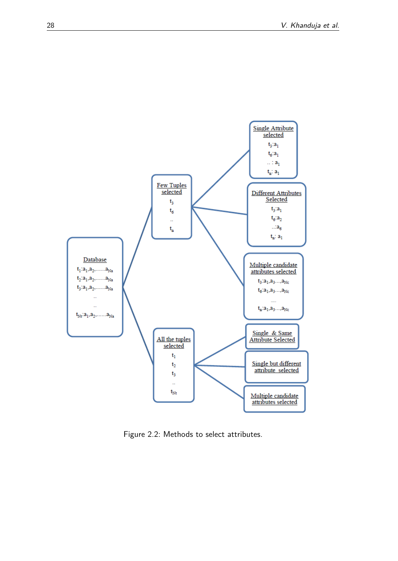

<span id="page-7-0"></span>Figure 2.2: Methods to select attributes.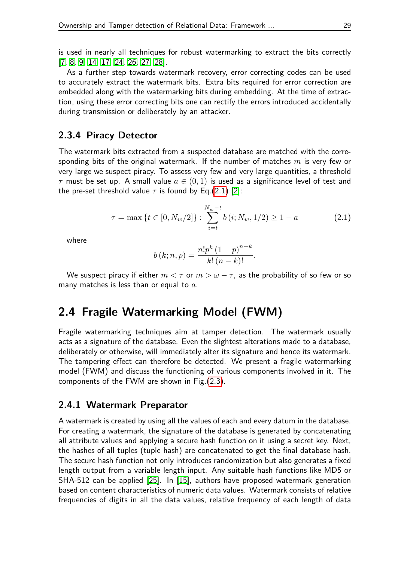is used in nearly all techniques for robust watermarking to extract the bits correctly [\[7,](#page-14-1) [8,](#page-14-2) [9,](#page-14-11) [14,](#page-14-3) [17,](#page-14-13) [24,](#page-15-8) [26,](#page-15-2) [27,](#page-15-3) [28\]](#page-15-7).

As a further step towards watermark recovery, error correcting codes can be used to accurately extract the watermark bits. Extra bits required for error correction are embedded along with the watermarking bits during embedding. At the time of extraction, using these error correcting bits one can rectify the errors introduced accidentally during transmission or deliberately by an attacker.

#### **2.3.4 Piracy Detector**

The watermark bits extracted from a suspected database are matched with the corresponding bits of the original watermark. If the number of matches *m* is very few or very large we suspect piracy. To assess very few and very large quantities, a threshold *τ* must be set up. A small value *a* ∈ (0*,* 1) is used as a significance level of test and the pre-set threshold value  $\tau$  is found by Eq.[\(2.1\)](#page-8-1) [\[2\]](#page-13-0):

<span id="page-8-1"></span>
$$
\tau = \max \left\{ t \in [0, N_w/2] \right\} : \sum_{i=t}^{N_w - t} b(i; N_w, 1/2) \ge 1 - a \tag{2.1}
$$

where

$$
b(k; n, p) = \frac{n! p^{k} (1-p)^{n-k}}{k! (n-k)!}.
$$

We suspect piracy if either  $m < \tau$  or  $m > \omega - \tau$ , as the probability of so few or so many matches is less than or equal to *a*.

## <span id="page-8-0"></span>**2.4 Fragile Watermarking Model (FWM)**

Fragile watermarking techniques aim at tamper detection. The watermark usually acts as a signature of the database. Even the slightest alterations made to a database, deliberately or otherwise, will immediately alter its signature and hence its watermark. The tampering effect can therefore be detected. We present a fragile watermarking model (FWM) and discuss the functioning of various components involved in it. The components of the FWM are shown in Fig.[\(2.3\)](#page-9-0).

#### **2.4.1 Watermark Preparator**

A watermark is created by using all the values of each and every datum in the database. For creating a watermark, the signature of the database is generated by concatenating all attribute values and applying a secure hash function on it using a secret key. Next, the hashes of all tuples (tuple hash) are concatenated to get the final database hash. The secure hash function not only introduces randomization but also generates a fixed length output from a variable length input. Any suitable hash functions like MD5 or SHA-512 can be applied [\[25\]](#page-15-10). In [\[15\]](#page-14-10), authors have proposed watermark generation based on content characteristics of numeric data values. Watermark consists of relative frequencies of digits in all the data values, relative frequency of each length of data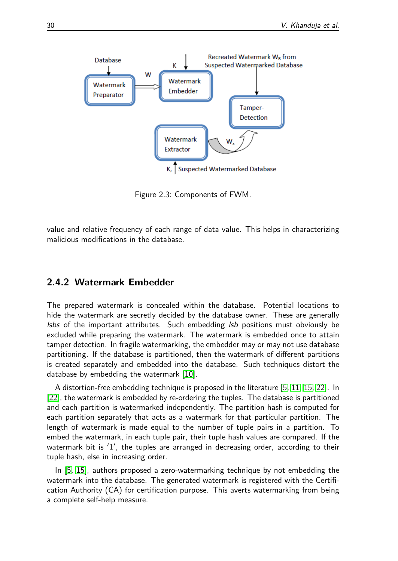

<span id="page-9-0"></span>Figure 2.3: Components of FWM.

value and relative frequency of each range of data value. This helps in characterizing malicious modifications in the database.

#### **2.4.2 Watermark Embedder**

The prepared watermark is concealed within the database. Potential locations to hide the watermark are secretly decided by the database owner. These are generally *lsbs* of the important attributes. Such embedding  $\mathit{lsb}$  positions must obviously be excluded while preparing the watermark. The watermark is embedded once to attain tamper detection. In fragile watermarking, the embedder may or may not use database partitioning. If the database is partitioned, then the watermark of different partitions is created separately and embedded into the database. Such techniques distort the database by embedding the watermark [\[10\]](#page-14-8).

A distortion-free embedding technique is proposed in the literature [\[5,](#page-14-7) [11,](#page-14-9) [15,](#page-14-10) [22\]](#page-15-5). In [\[22\]](#page-15-5), the watermark is embedded by re-ordering the tuples. The database is partitioned and each partition is watermarked independently. The partition hash is computed for each partition separately that acts as a watermark for that particular partition. The length of watermark is made equal to the number of tuple pairs in a partition. To embed the watermark, in each tuple pair, their tuple hash values are compared. If the watermark bit is  $'1'$ , the tuples are arranged in decreasing order, according to their tuple hash, else in increasing order.

In [\[5,](#page-14-7) [15\]](#page-14-10), authors proposed a zero-watermarking technique by not embedding the watermark into the database. The generated watermark is registered with the Certification Authority (CA) for certification purpose. This averts watermarking from being a complete self-help measure.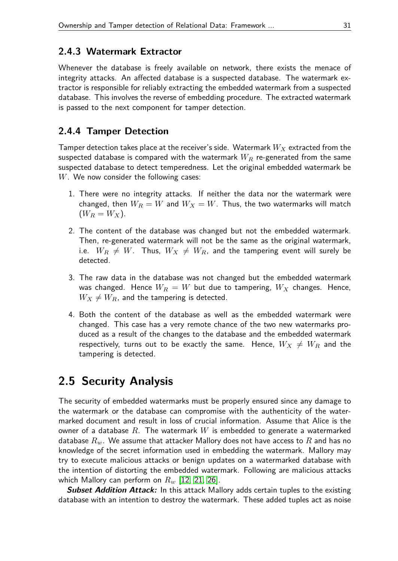#### **2.4.3 Watermark Extractor**

Whenever the database is freely available on network, there exists the menace of integrity attacks. An affected database is a suspected database. The watermark extractor is responsible for reliably extracting the embedded watermark from a suspected database. This involves the reverse of embedding procedure. The extracted watermark is passed to the next component for tamper detection.

#### **2.4.4 Tamper Detection**

Tamper detection takes place at the receiver's side. Watermark *W<sup>X</sup>* extracted from the suspected database is compared with the watermark *W<sup>R</sup>* re-generated from the same suspected database to detect temperedness. Let the original embedded watermark be *W*. We now consider the following cases:

- 1. There were no integrity attacks. If neither the data nor the watermark were changed, then  $W_R = W$  and  $W_X = W$ . Thus, the two watermarks will match  $(W_R = W_X).$
- 2. The content of the database was changed but not the embedded watermark. Then, re-generated watermark will not be the same as the original watermark, i.e.  $W_R \neq W$ . Thus,  $W_X \neq W_R$ , and the tampering event will surely be detected.
- 3. The raw data in the database was not changed but the embedded watermark was changed. Hence  $W_R = W$  but due to tampering,  $W_X$  changes. Hence,  $W_X \neq W_R$ , and the tampering is detected.
- 4. Both the content of the database as well as the embedded watermark were changed. This case has a very remote chance of the two new watermarks produced as a result of the changes to the database and the embedded watermark respectively, turns out to be exactly the same. Hence,  $W_X \neq W_R$  and the tampering is detected.

# <span id="page-10-0"></span>**2.5 Security Analysis**

The security of embedded watermarks must be properly ensured since any damage to the watermark or the database can compromise with the authenticity of the watermarked document and result in loss of crucial information. Assume that Alice is the owner of a database *R*. The watermark *W* is embedded to generate a watermarked database  $R_w$ . We assume that attacker Mallory does not have access to  $R$  and has no knowledge of the secret information used in embedding the watermark. Mallory may try to execute malicious attacks or benign updates on a watermarked database with the intention of distorting the embedded watermark. Following are malicious attacks which Mallory can perform on *R<sup>w</sup>* [\[12,](#page-14-12) [21,](#page-15-1) [26\]](#page-15-2).

**Subset Addition Attack:** In this attack Mallory adds certain tuples to the existing database with an intention to destroy the watermark. These added tuples act as noise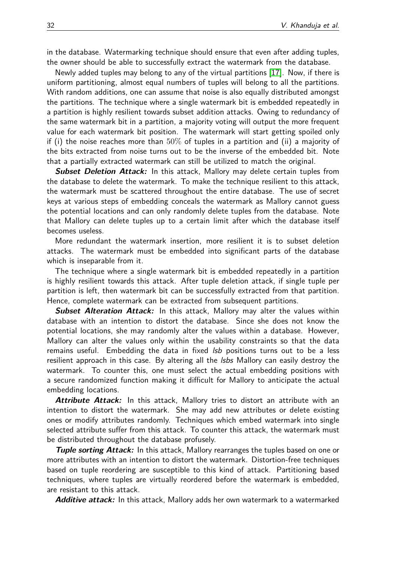in the database. Watermarking technique should ensure that even after adding tuples, the owner should be able to successfully extract the watermark from the database.

Newly added tuples may belong to any of the virtual partitions [\[17\]](#page-14-13). Now, if there is uniform partitioning, almost equal numbers of tuples will belong to all the partitions. With random additions, one can assume that noise is also equally distributed amongst the partitions. The technique where a single watermark bit is embedded repeatedly in a partition is highly resilient towards subset addition attacks. Owing to redundancy of the same watermark bit in a partition, a majority voting will output the more frequent value for each watermark bit position. The watermark will start getting spoiled only if (i) the noise reaches more than  $50\%$  of tuples in a partition and (ii) a majority of the bits extracted from noise turns out to be the inverse of the embedded bit. Note that a partially extracted watermark can still be utilized to match the original.

**Subset Deletion Attack:** In this attack, Mallory may delete certain tuples from the database to delete the watermark. To make the technique resilient to this attack, the watermark must be scattered throughout the entire database. The use of secret keys at various steps of embedding conceals the watermark as Mallory cannot guess the potential locations and can only randomly delete tuples from the database. Note that Mallory can delete tuples up to a certain limit after which the database itself becomes useless.

More redundant the watermark insertion, more resilient it is to subset deletion attacks. The watermark must be embedded into significant parts of the database which is inseparable from it.

The technique where a single watermark bit is embedded repeatedly in a partition is highly resilient towards this attack. After tuple deletion attack, if single tuple per partition is left, then watermark bit can be successfully extracted from that partition. Hence, complete watermark can be extracted from subsequent partitions.

**Subset Alteration Attack:** In this attack, Mallory may alter the values within database with an intention to distort the database. Since she does not know the potential locations, she may randomly alter the values within a database. However, Mallory can alter the values only within the usability constraints so that the data remains useful. Embedding the data in fixed *Isb* positions turns out to be a less resilient approach in this case. By altering all the *Isbs* Mallory can easily destroy the watermark. To counter this, one must select the actual embedding positions with a secure randomized function making it difficult for Mallory to anticipate the actual embedding locations.

**Attribute Attack:** In this attack, Mallory tries to distort an attribute with an intention to distort the watermark. She may add new attributes or delete existing ones or modify attributes randomly. Techniques which embed watermark into single selected attribute suffer from this attack. To counter this attack, the watermark must be distributed throughout the database profusely.

**Tuple sorting Attack:** In this attack, Mallory rearranges the tuples based on one or more attributes with an intention to distort the watermark. Distortion-free techniques based on tuple reordering are susceptible to this kind of attack. Partitioning based techniques, where tuples are virtually reordered before the watermark is embedded, are resistant to this attack.

**Additive attack:** In this attack, Mallory adds her own watermark to a watermarked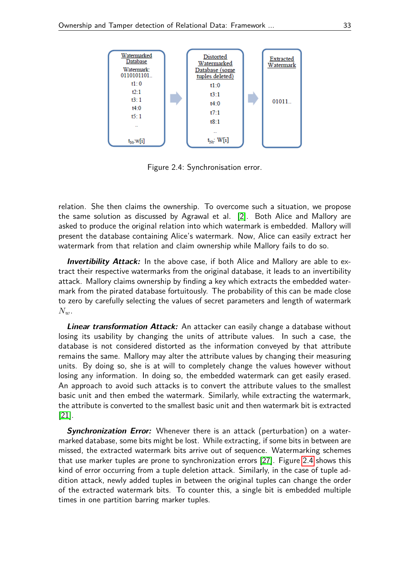

<span id="page-12-0"></span>Figure 2.4: Synchronisation error.

relation. She then claims the ownership. To overcome such a situation, we propose the same solution as discussed by Agrawal et al. [\[2\]](#page-13-0). Both Alice and Mallory are asked to produce the original relation into which watermark is embedded. Mallory will present the database containing Alice's watermark. Now, Alice can easily extract her watermark from that relation and claim ownership while Mallory fails to do so.

**Invertibility Attack:** In the above case, if both Alice and Mallory are able to extract their respective watermarks from the original database, it leads to an invertibility attack. Mallory claims ownership by finding a key which extracts the embedded watermark from the pirated database fortuitously. The probability of this can be made close to zero by carefully selecting the values of secret parameters and length of watermark *Nw*.

**Linear transformation Attack:** An attacker can easily change a database without losing its usability by changing the units of attribute values. In such a case, the database is not considered distorted as the information conveyed by that attribute remains the same. Mallory may alter the attribute values by changing their measuring units. By doing so, she is at will to completely change the values however without losing any information. In doing so, the embedded watermark can get easily erased. An approach to avoid such attacks is to convert the attribute values to the smallest basic unit and then embed the watermark. Similarly, while extracting the watermark, the attribute is converted to the smallest basic unit and then watermark bit is extracted [\[21\]](#page-15-1).

**Synchronization Error:** Whenever there is an attack (perturbation) on a watermarked database, some bits might be lost. While extracting, if some bits in between are missed, the extracted watermark bits arrive out of sequence. Watermarking schemes that use marker tuples are prone to synchronization errors [\[27\]](#page-15-3). Figure [2.4](#page-12-0) shows this kind of error occurring from a tuple deletion attack. Similarly, in the case of tuple addition attack, newly added tuples in between the original tuples can change the order of the extracted watermark bits. To counter this, a single bit is embedded multiple times in one partition barring marker tuples.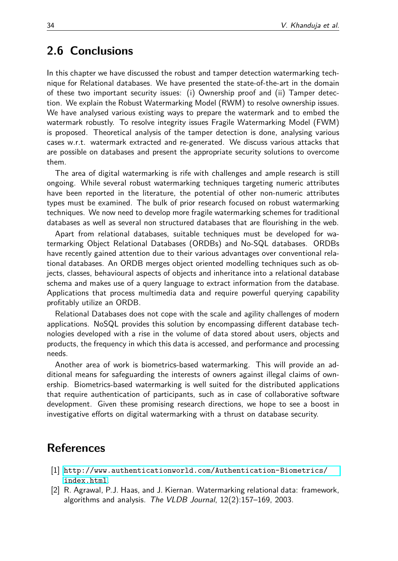## **2.6 Conclusions**

In this chapter we have discussed the robust and tamper detection watermarking technique for Relational databases. We have presented the state-of-the-art in the domain of these two important security issues: (i) Ownership proof and (ii) Tamper detection. We explain the Robust Watermarking Model (RWM) to resolve ownership issues. We have analysed various existing ways to prepare the watermark and to embed the watermark robustly. To resolve integrity issues Fragile Watermarking Model (FWM) is proposed. Theoretical analysis of the tamper detection is done, analysing various cases w.r.t. watermark extracted and re-generated. We discuss various attacks that are possible on databases and present the appropriate security solutions to overcome them.

The area of digital watermarking is rife with challenges and ample research is still ongoing. While several robust watermarking techniques targeting numeric attributes have been reported in the literature, the potential of other non-numeric attributes types must be examined. The bulk of prior research focused on robust watermarking techniques. We now need to develop more fragile watermarking schemes for traditional databases as well as several non structured databases that are flourishing in the web.

Apart from relational databases, suitable techniques must be developed for watermarking Object Relational Databases (ORDBs) and No-SQL databases. ORDBs have recently gained attention due to their various advantages over conventional relational databases. An ORDB merges object oriented modelling techniques such as objects, classes, behavioural aspects of objects and inheritance into a relational database schema and makes use of a query language to extract information from the database. Applications that process multimedia data and require powerful querying capability profitably utilize an ORDB.

Relational Databases does not cope with the scale and agility challenges of modern applications. NoSQL provides this solution by encompassing different database technologies developed with a rise in the volume of data stored about users, objects and products, the frequency in which this data is accessed, and performance and processing needs.

Another area of work is biometrics-based watermarking. This will provide an additional means for safeguarding the interests of owners against illegal claims of ownership. Biometrics-based watermarking is well suited for the distributed applications that require authentication of participants, such as in case of collaborative software development. Given these promising research directions, we hope to see a boost in investigative efforts on digital watermarking with a thrust on database security.

## **References**

- <span id="page-13-1"></span>[1] [http://www.authenticationworld.com/Authentication-Biometrics/](http://www.authenticationworld.com/Authentication-Biometrics/index.html) [index.html](http://www.authenticationworld.com/Authentication-Biometrics/index.html).
- <span id="page-13-0"></span>[2] R. Agrawal, P.J. Haas, and J. Kiernan. Watermarking relational data: framework, algorithms and analysis. The VLDB Journal, 12(2):157–169, 2003.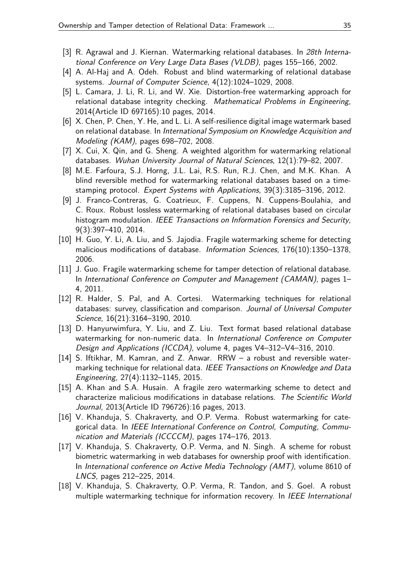- <span id="page-14-0"></span>[3] R. Agrawal and J. Kiernan. Watermarking relational databases. In 28th International Conference on Very Large Data Bases (VLDB), pages 155–166, 2002.
- <span id="page-14-14"></span>[4] A. Al-Haj and A. Odeh. Robust and blind watermarking of relational database systems. Journal of Computer Science, 4(12):1024–1029, 2008.
- <span id="page-14-7"></span>[5] L. Camara, J. Li, R. Li, and W. Xie. Distortion-free watermarking approach for relational database integrity checking. Mathematical Problems in Engineering, 2014(Article ID 697165):10 pages, 2014.
- <span id="page-14-15"></span>[6] X. Chen, P. Chen, Y. He, and L. Li. A self-resilience digital image watermark based on relational database. In International Symposium on Knowledge Acquisition and Modeling (KAM), pages 698–702, 2008.
- <span id="page-14-1"></span>[7] X. Cui, X. Qin, and G. Sheng. A weighted algorithm for watermarking relational databases. Wuhan University Journal of Natural Sciences, 12(1):79–82, 2007.
- <span id="page-14-2"></span>[8] M.E. Farfoura, S.J. Horng, J.L. Lai, R.S. Run, R.J. Chen, and M.K. Khan. A blind reversible method for watermarking relational databases based on a timestamping protocol. Expert Systems with Applications, 39(3):3185–3196, 2012.
- <span id="page-14-11"></span>[9] J. Franco-Contreras, G. Coatrieux, F. Cuppens, N. Cuppens-Boulahia, and C. Roux. Robust lossless watermarking of relational databases based on circular histogram modulation. IEEE Transactions on Information Forensics and Security, 9(3):397–410, 2014.
- <span id="page-14-8"></span>[10] H. Guo, Y. Li, A. Liu, and S. Jajodia. Fragile watermarking scheme for detecting malicious modifications of database. Information Sciences, 176(10):1350–1378, 2006.
- <span id="page-14-9"></span>[11] J. Guo. Fragile watermarking scheme for tamper detection of relational database. In International Conference on Computer and Management (CAMAN), pages 1– 4, 2011.
- <span id="page-14-12"></span>[12] R. Halder, S. Pal, and A. Cortesi. Watermarking techniques for relational databases: survey, classification and comparison. Journal of Universal Computer Science, 16(21):3164–3190, 2010.
- <span id="page-14-4"></span>[13] D. Hanyurwimfura, Y. Liu, and Z. Liu. Text format based relational database watermarking for non-numeric data. In International Conference on Computer Design and Applications (ICCDA), volume 4, pages V4–312–V4–316, 2010.
- <span id="page-14-3"></span>[14] S. Iftikhar, M. Kamran, and Z. Anwar. RRW - a robust and reversible watermarking technique for relational data. IEEE Transactions on Knowledge and Data Engineering, 27(4):1132–1145, 2015.
- <span id="page-14-10"></span>[15] A. Khan and S.A. Husain. A fragile zero watermarking scheme to detect and characterize malicious modifications in database relations. The Scientific World Journal, 2013(Article ID 796726):16 pages, 2013.
- <span id="page-14-5"></span>[16] V. Khanduja, S. Chakraverty, and O.P. Verma. Robust watermarking for categorical data. In IEEE International Conference on Control, Computing, Communication and Materials (ICCCCM), pages 174–176, 2013.
- <span id="page-14-13"></span>[17] V. Khanduja, S. Chakraverty, O.P. Verma, and N. Singh. A scheme for robust biometric watermarking in web databases for ownership proof with identification. In International conference on Active Media Technology (AMT), volume 8610 of LNCS, pages 212–225, 2014.
- <span id="page-14-6"></span>[18] V. Khanduja, S. Chakraverty, O.P. Verma, R. Tandon, and S. Goel. A robust multiple watermarking technique for information recovery. In IEEE International